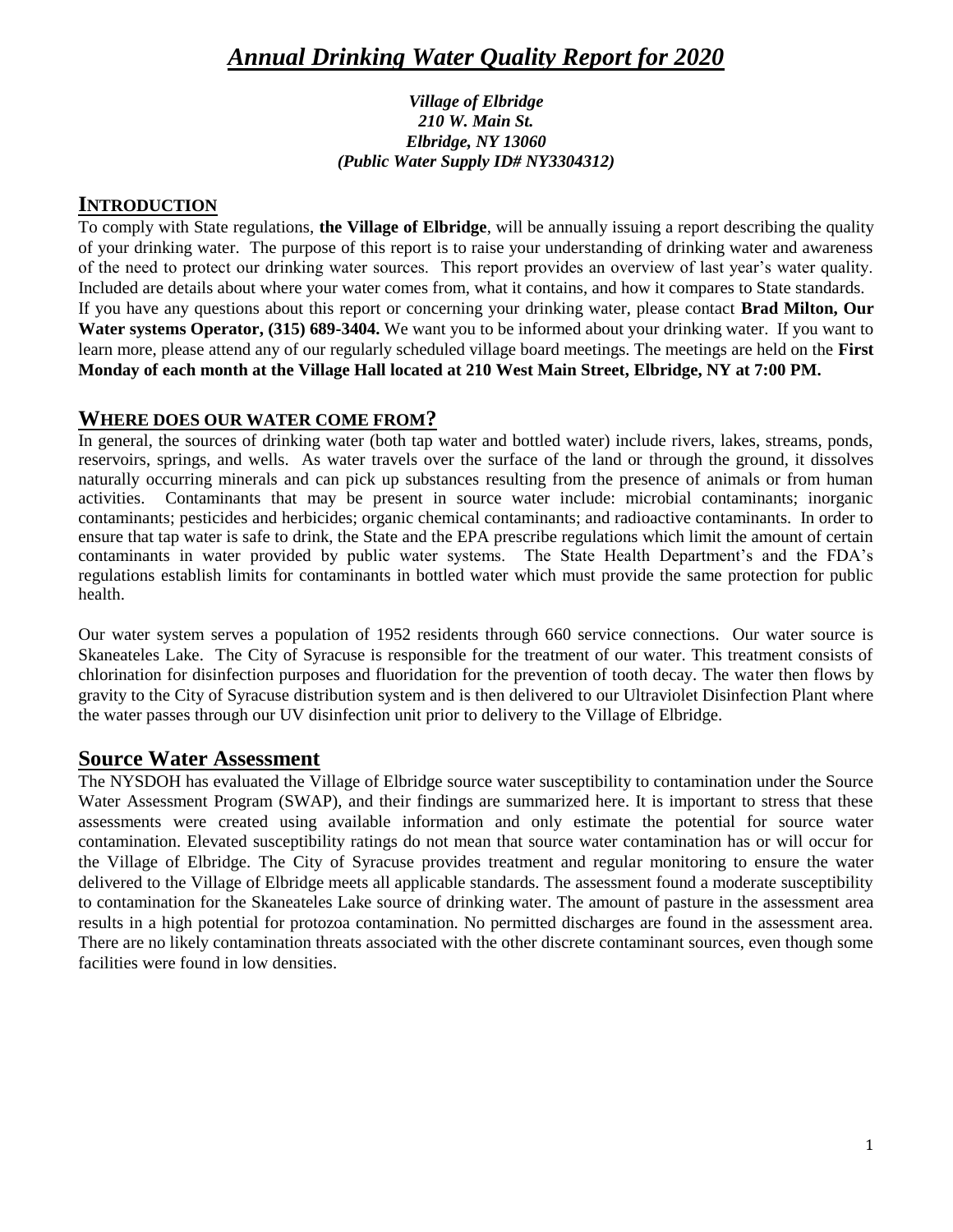# *Annual Drinking Water Quality Report for 2020*

#### *Village of Elbridge 210 W. Main St. Elbridge, NY 13060 (Public Water Supply ID# NY3304312)*

#### **INTRODUCTION**

To comply with State regulations, **the Village of Elbridge**, will be annually issuing a report describing the quality of your drinking water. The purpose of this report is to raise your understanding of drinking water and awareness of the need to protect our drinking water sources. This report provides an overview of last year's water quality. Included are details about where your water comes from, what it contains, and how it compares to State standards. If you have any questions about this report or concerning your drinking water, please contact **Brad Milton, Our Water systems Operator, (315) 689-3404.** We want you to be informed about your drinking water. If you want to learn more, please attend any of our regularly scheduled village board meetings. The meetings are held on the **First Monday of each month at the Village Hall located at 210 West Main Street, Elbridge, NY at 7:00 PM.**

#### **WHERE DOES OUR WATER COME FROM?**

In general, the sources of drinking water (both tap water and bottled water) include rivers, lakes, streams, ponds, reservoirs, springs, and wells. As water travels over the surface of the land or through the ground, it dissolves naturally occurring minerals and can pick up substances resulting from the presence of animals or from human activities. Contaminants that may be present in source water include: microbial contaminants; inorganic contaminants; pesticides and herbicides; organic chemical contaminants; and radioactive contaminants. In order to ensure that tap water is safe to drink, the State and the EPA prescribe regulations which limit the amount of certain contaminants in water provided by public water systems. The State Health Department's and the FDA's regulations establish limits for contaminants in bottled water which must provide the same protection for public health.

Our water system serves a population of 1952 residents through 660 service connections. Our water source is Skaneateles Lake. The City of Syracuse is responsible for the treatment of our water. This treatment consists of chlorination for disinfection purposes and fluoridation for the prevention of tooth decay. The water then flows by gravity to the City of Syracuse distribution system and is then delivered to our Ultraviolet Disinfection Plant where the water passes through our UV disinfection unit prior to delivery to the Village of Elbridge.

### **Source Water Assessment**

The NYSDOH has evaluated the Village of Elbridge source water susceptibility to contamination under the Source Water Assessment Program (SWAP), and their findings are summarized here. It is important to stress that these assessments were created using available information and only estimate the potential for source water contamination. Elevated susceptibility ratings do not mean that source water contamination has or will occur for the Village of Elbridge. The City of Syracuse provides treatment and regular monitoring to ensure the water delivered to the Village of Elbridge meets all applicable standards. The assessment found a moderate susceptibility to contamination for the Skaneateles Lake source of drinking water. The amount of pasture in the assessment area results in a high potential for protozoa contamination. No permitted discharges are found in the assessment area. There are no likely contamination threats associated with the other discrete contaminant sources, even though some facilities were found in low densities.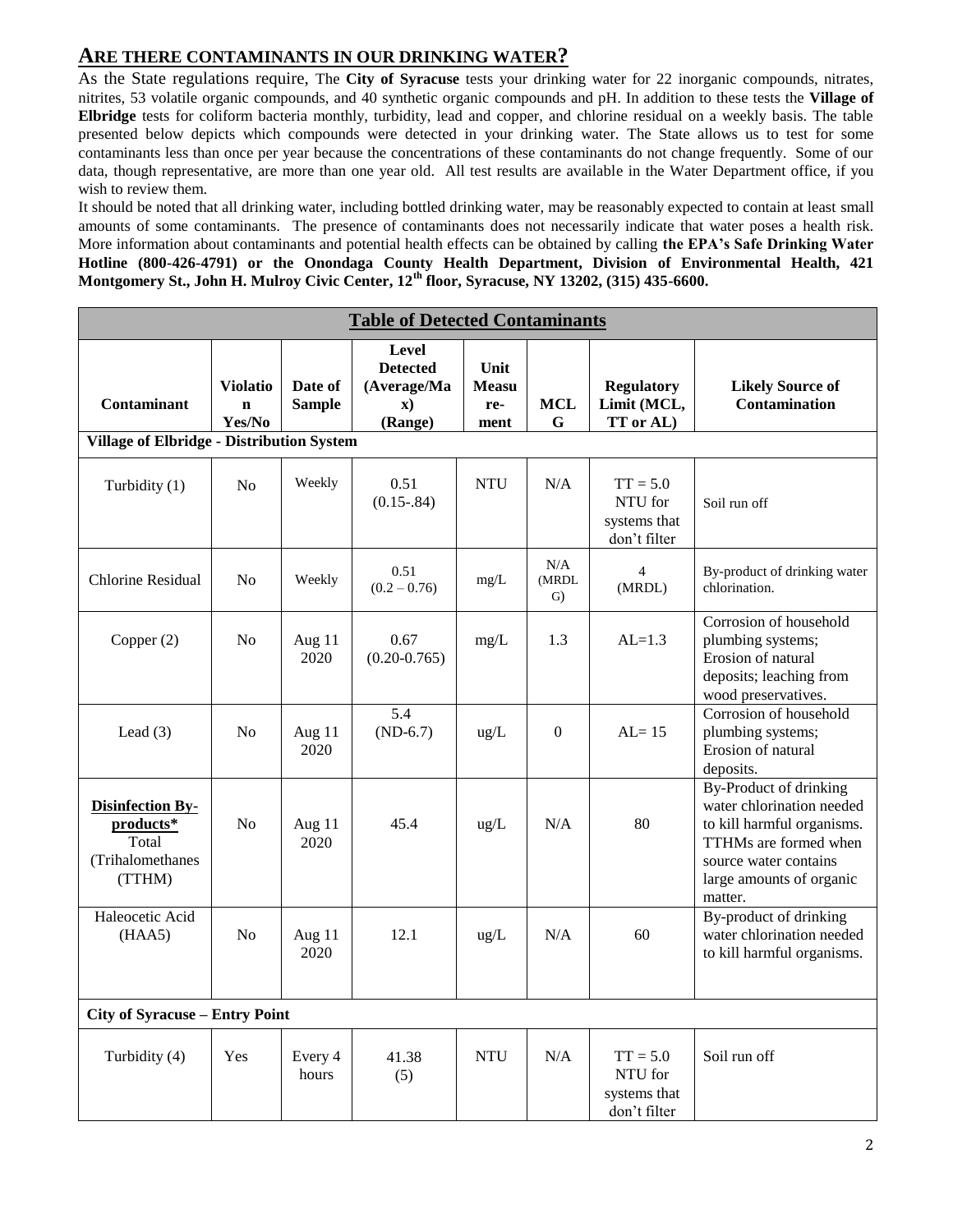### **ARE THERE CONTAMINANTS IN OUR DRINKING WATER?**

As the State regulations require, The **City of Syracuse** tests your drinking water for 22 inorganic compounds, nitrates, nitrites, 53 volatile organic compounds, and 40 synthetic organic compounds and pH. In addition to these tests the **Village of Elbridge** tests for coliform bacteria monthly, turbidity, lead and copper, and chlorine residual on a weekly basis. The table presented below depicts which compounds were detected in your drinking water. The State allows us to test for some contaminants less than once per year because the concentrations of these contaminants do not change frequently. Some of our data, though representative, are more than one year old. All test results are available in the Water Department office, if you wish to review them.

It should be noted that all drinking water, including bottled drinking water, may be reasonably expected to contain at least small amounts of some contaminants. The presence of contaminants does not necessarily indicate that water poses a health risk. More information about contaminants and potential health effects can be obtained by calling **the EPA's Safe Drinking Water Hotline (800-426-4791) or the Onondaga County Health Department, Division of Environmental Health, 421 Montgomery St., John H. Mulroy Civic Center, 12th floor, Syracuse, NY 13202, (315) 435-6600.**

| <b>Table of Detected Contaminants</b>                                       |                                          |                          |                                                                    |                                     |                    |                                                       |                                                                                                                                                                            |  |  |  |
|-----------------------------------------------------------------------------|------------------------------------------|--------------------------|--------------------------------------------------------------------|-------------------------------------|--------------------|-------------------------------------------------------|----------------------------------------------------------------------------------------------------------------------------------------------------------------------------|--|--|--|
| <b>Contaminant</b><br><b>Village of Elbridge - Distribution System</b>      | <b>Violatio</b><br>$\mathbf n$<br>Yes/No | Date of<br><b>Sample</b> | Level<br><b>Detected</b><br>(Average/Ma<br>$\mathbf{x}$<br>(Range) | Unit<br><b>Measu</b><br>re-<br>ment | <b>MCL</b><br>G    | <b>Regulatory</b><br>Limit (MCL,<br>TT or AL)         | <b>Likely Source of</b><br>Contamination                                                                                                                                   |  |  |  |
| Turbidity (1)                                                               | N <sub>0</sub>                           | Weekly                   | 0.51<br>$(0.15 - .84)$                                             | <b>NTU</b>                          | N/A                | $TT = 5.0$<br>NTU for<br>systems that<br>don't filter | Soil run off                                                                                                                                                               |  |  |  |
| <b>Chlorine Residual</b>                                                    | N <sub>0</sub>                           | Weekly                   | 0.51<br>$(0.2 - 0.76)$                                             | mg/L                                | N/A<br>(MRDL<br>G) | $\overline{4}$<br>(MRDL)                              | By-product of drinking water<br>chlorination.                                                                                                                              |  |  |  |
| Copper $(2)$                                                                | No                                       | Aug 11<br>2020           | 0.67<br>$(0.20 - 0.765)$                                           | mg/L                                | 1.3                | $AL=1.3$                                              | Corrosion of household<br>plumbing systems;<br>Erosion of natural<br>deposits; leaching from<br>wood preservatives.                                                        |  |  |  |
| Lead $(3)$                                                                  | N <sub>o</sub>                           | Aug 11<br>2020           | 5.4<br>$(ND-6.7)$                                                  | ug/L                                | $\overline{0}$     | $AL = 15$                                             | Corrosion of household<br>plumbing systems;<br>Erosion of natural<br>deposits.                                                                                             |  |  |  |
| <b>Disinfection By-</b><br>products*<br>Total<br>(Trihalomethanes<br>(TTHM) | N <sub>o</sub>                           | Aug 11<br>2020           | 45.4                                                               | ug/L                                | N/A                | 80                                                    | By-Product of drinking<br>water chlorination needed<br>to kill harmful organisms.<br>TTHMs are formed when<br>source water contains<br>large amounts of organic<br>matter. |  |  |  |
| Haleocetic Acid<br>(HAA5)                                                   | N <sub>o</sub>                           | Aug 11<br>2020           | 12.1                                                               | ug/L                                | N/A                | 60                                                    | By-product of drinking<br>water chlorination needed<br>to kill harmful organisms.                                                                                          |  |  |  |
| <b>City of Syracuse - Entry Point</b>                                       |                                          |                          |                                                                    |                                     |                    |                                                       |                                                                                                                                                                            |  |  |  |
| Turbidity (4)                                                               | Yes                                      | Every 4<br>hours         | 41.38<br>(5)                                                       | <b>NTU</b>                          | N/A                | $TT = 5.0$<br>NTU for<br>systems that<br>don't filter | Soil run off                                                                                                                                                               |  |  |  |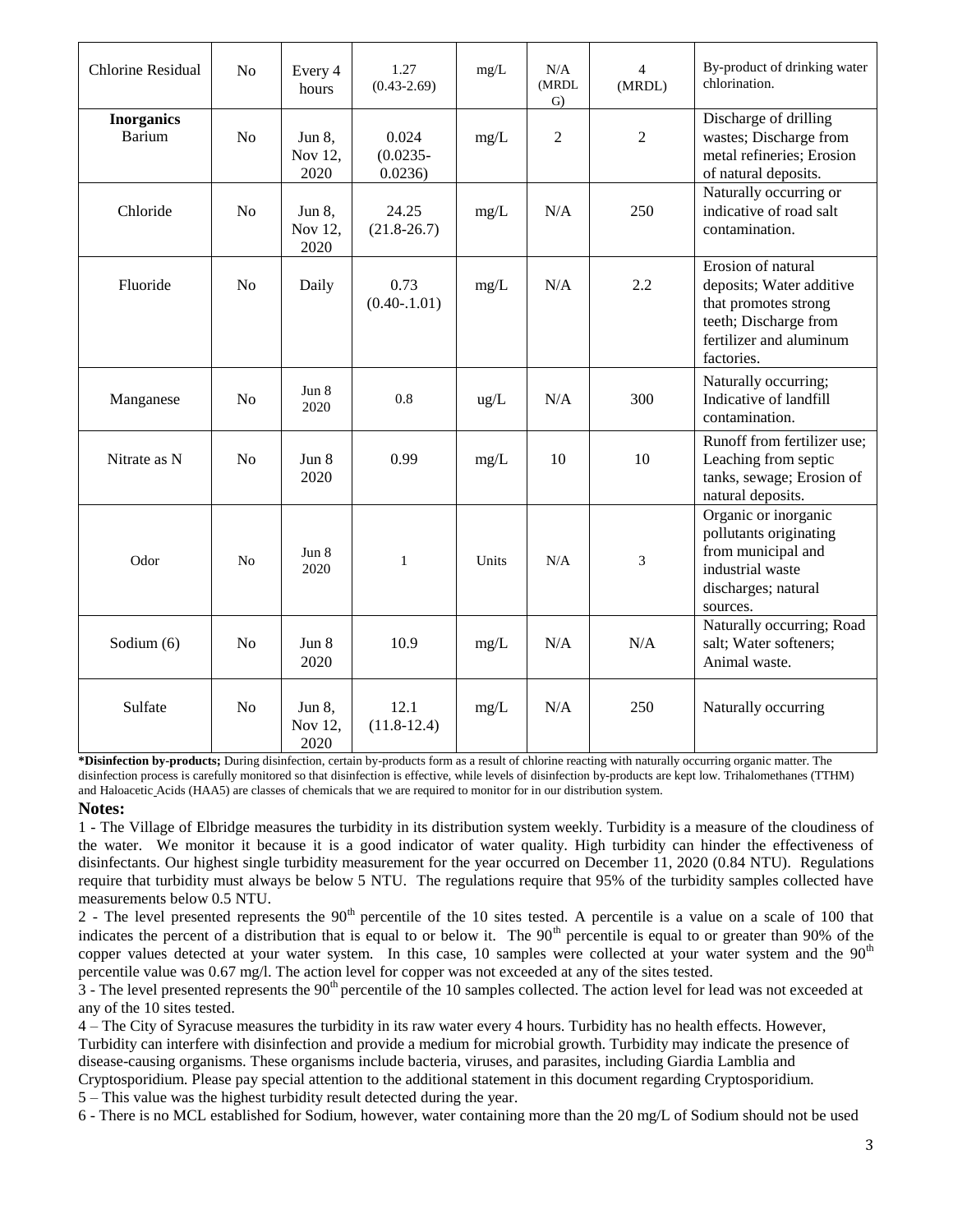| <b>Chlorine Residual</b>           | No             | Every 4<br>hours          | 1.27<br>$(0.43 - 2.69)$         | mg/L          | N/A<br>(MRDL<br>G) | $\overline{4}$<br>(MRDL) | By-product of drinking water<br>chlorination.                                                                                            |
|------------------------------------|----------------|---------------------------|---------------------------------|---------------|--------------------|--------------------------|------------------------------------------------------------------------------------------------------------------------------------------|
| <b>Inorganics</b><br><b>Barium</b> | No             | Jun 8,<br>Nov 12,<br>2020 | 0.024<br>$(0.0235 -$<br>0.0236) | mg/L          | $\overline{2}$     | $\overline{2}$           | Discharge of drilling<br>wastes; Discharge from<br>metal refineries; Erosion<br>of natural deposits.                                     |
| Chloride                           | N <sub>o</sub> | Jun 8,<br>Nov 12,<br>2020 | 24.25<br>$(21.8 - 26.7)$        | mg/L          | N/A                | 250                      | Naturally occurring or<br>indicative of road salt<br>contamination.                                                                      |
| Fluoride                           | N <sub>o</sub> | Daily                     | 0.73<br>$(0.40-1.01)$           | mg/L          | N/A                | 2.2                      | Erosion of natural<br>deposits; Water additive<br>that promotes strong<br>teeth; Discharge from<br>fertilizer and aluminum<br>factories. |
| Manganese                          | No             | Jun 8<br>2020             | 0.8                             | $\text{ug/L}$ | N/A                | 300                      | Naturally occurring;<br>Indicative of landfill<br>contamination.                                                                         |
| Nitrate as N                       | N <sub>o</sub> | Jun 8<br>2020             | 0.99                            | mg/L          | 10                 | 10                       | Runoff from fertilizer use;<br>Leaching from septic<br>tanks, sewage; Erosion of<br>natural deposits.                                    |
| Odor                               | N <sub>o</sub> | Jun 8<br>2020             | $\mathbf{1}$                    | Units         | N/A                | 3                        | Organic or inorganic<br>pollutants originating<br>from municipal and<br>industrial waste<br>discharges; natural<br>sources.              |
| Sodium (6)                         | N <sub>o</sub> | Jun 8<br>2020             | 10.9                            | mg/L          | N/A                | N/A                      | Naturally occurring; Road<br>salt; Water softeners;<br>Animal waste.                                                                     |
| Sulfate                            | N <sub>o</sub> | Jun 8,<br>Nov 12,<br>2020 | 12.1<br>$(11.8-12.4)$           | mg/L          | N/A                | 250                      | Naturally occurring                                                                                                                      |

**\*Disinfection by-products;** During disinfection, certain by-products form as a result of chlorine reacting with naturally occurring organic matter. The disinfection process is carefully monitored so that disinfection is effective, while levels of disinfection by-products are kept low. Trihalomethanes (TTHM) and Haloacetic Acids (HAA5) are classes of chemicals that we are required to monitor for in our distribution system.

#### **Notes:**

1 - The Village of Elbridge measures the turbidity in its distribution system weekly. Turbidity is a measure of the cloudiness of the water. We monitor it because it is a good indicator of water quality. High turbidity can hinder the effectiveness of disinfectants. Our highest single turbidity measurement for the year occurred on December 11, 2020 (0.84 NTU). Regulations require that turbidity must always be below 5 NTU. The regulations require that 95% of the turbidity samples collected have measurements below 0.5 NTU.

2 - The level presented represents the  $90<sup>th</sup>$  percentile of the 10 sites tested. A percentile is a value on a scale of 100 that indicates the percent of a distribution that is equal to or below it. The  $90<sup>th</sup>$  percentile is equal to or greater than 90% of the copper values detected at your water system. In this case, 10 samples were collected at your water system and the  $90<sup>th</sup>$ percentile value was 0.67 mg/l. The action level for copper was not exceeded at any of the sites tested.

3 - The level presented represents the  $90<sup>th</sup>$  percentile of the 10 samples collected. The action level for lead was not exceeded at any of the 10 sites tested.

4 – The City of Syracuse measures the turbidity in its raw water every 4 hours. Turbidity has no health effects. However, Turbidity can interfere with disinfection and provide a medium for microbial growth. Turbidity may indicate the presence of disease-causing organisms. These organisms include bacteria, viruses, and parasites, including Giardia Lamblia and

Cryptosporidium. Please pay special attention to the additional statement in this document regarding Cryptosporidium. 5 – This value was the highest turbidity result detected during the year.

6 - There is no MCL established for Sodium, however, water containing more than the 20 mg/L of Sodium should not be used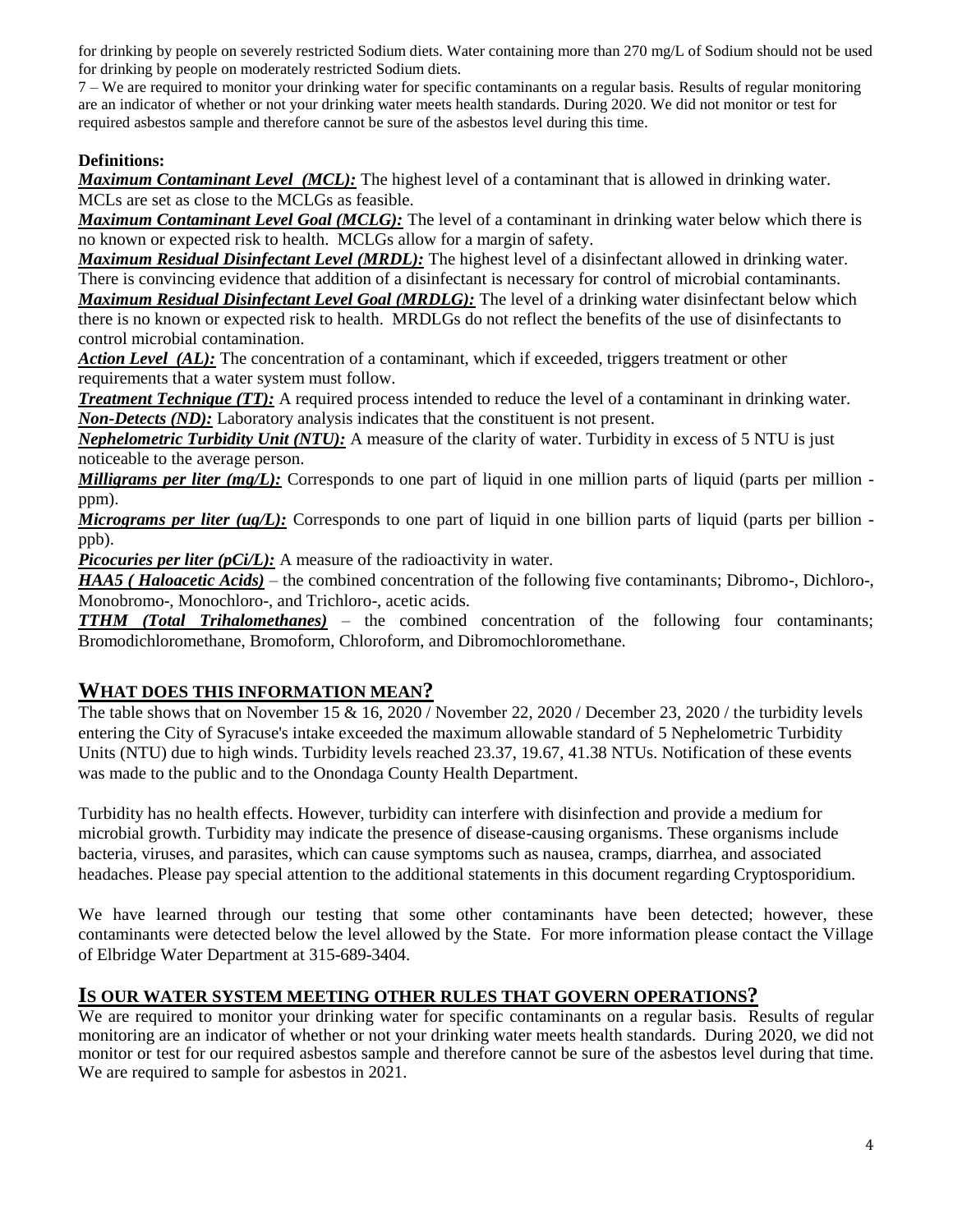for drinking by people on severely restricted Sodium diets. Water containing more than 270 mg/L of Sodium should not be used for drinking by people on moderately restricted Sodium diets.

7 – We are required to monitor your drinking water for specific contaminants on a regular basis. Results of regular monitoring are an indicator of whether or not your drinking water meets health standards. During 2020. We did not monitor or test for required asbestos sample and therefore cannot be sure of the asbestos level during this time.

#### **Definitions:**

*Maximum Contaminant Level (MCL):* The highest level of a contaminant that is allowed in drinking water. MCLs are set as close to the MCLGs as feasible.

*Maximum Contaminant Level Goal (MCLG):* The level of a contaminant in drinking water below which there is no known or expected risk to health. MCLGs allow for a margin of safety.

*Maximum Residual Disinfectant Level (MRDL):* The highest level of a disinfectant allowed in drinking water. There is convincing evidence that addition of a disinfectant is necessary for control of microbial contaminants.

*Maximum Residual Disinfectant Level Goal (MRDLG):* The level of a drinking water disinfectant below which there is no known or expected risk to health. MRDLGs do not reflect the benefits of the use of disinfectants to control microbial contamination.

*Action Level (AL):* The concentration of a contaminant, which if exceeded, triggers treatment or other requirements that a water system must follow.

*Treatment Technique (TT):* A required process intended to reduce the level of a contaminant in drinking water. *Non-Detects (ND):* Laboratory analysis indicates that the constituent is not present.

*Nephelometric Turbidity Unit (NTU):* A measure of the clarity of water. Turbidity in excess of 5 NTU is just noticeable to the average person.

*Milligrams per liter (mg/L):* Corresponds to one part of liquid in one million parts of liquid (parts per million ppm).

*Micrograms per liter (ug/L):* Corresponds to one part of liquid in one billion parts of liquid (parts per billion ppb).

*Picocuries per liter (pCi/L):* A measure of the radioactivity in water.

*HAA5 ( Haloacetic Acids)* – the combined concentration of the following five contaminants; Dibromo-, Dichloro-, Monobromo-, Monochloro-, and Trichloro-, acetic acids.

*TTHM (Total Trihalomethanes)* – the combined concentration of the following four contaminants; Bromodichloromethane, Bromoform, Chloroform, and Dibromochloromethane.

### **WHAT DOES THIS INFORMATION MEAN?**

The table shows that on November 15 & 16, 2020 / November 22, 2020 / December 23, 2020 / the turbidity levels entering the City of Syracuse's intake exceeded the maximum allowable standard of 5 Nephelometric Turbidity Units (NTU) due to high winds. Turbidity levels reached 23.37, 19.67, 41.38 NTUs. Notification of these events was made to the public and to the Onondaga County Health Department.

Turbidity has no health effects. However, turbidity can interfere with disinfection and provide a medium for microbial growth. Turbidity may indicate the presence of disease-causing organisms. These organisms include bacteria, viruses, and parasites, which can cause symptoms such as nausea, cramps, diarrhea, and associated headaches. Please pay special attention to the additional statements in this document regarding Cryptosporidium.

We have learned through our testing that some other contaminants have been detected; however, these contaminants were detected below the level allowed by the State. For more information please contact the Village of Elbridge Water Department at 315-689-3404.

### **IS OUR WATER SYSTEM MEETING OTHER RULES THAT GOVERN OPERATIONS?**

We are required to monitor your drinking water for specific contaminants on a regular basis. Results of regular monitoring are an indicator of whether or not your drinking water meets health standards. During 2020, we did not monitor or test for our required asbestos sample and therefore cannot be sure of the asbestos level during that time. We are required to sample for asbestos in 2021.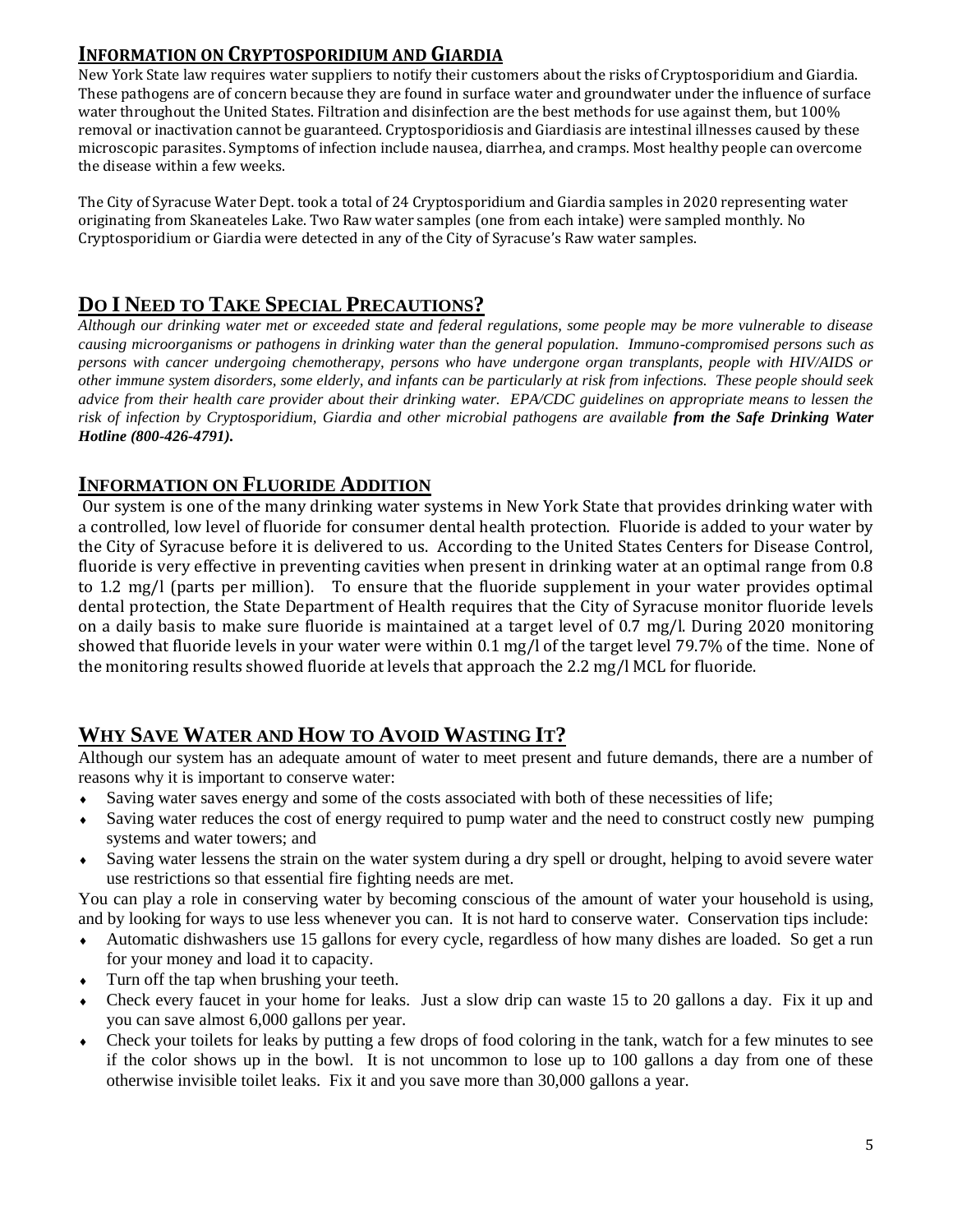## **INFORMATION ON CRYPTOSPORIDIUM AND GIARDIA**

New York State law requires water suppliers to notify their customers about the risks of Cryptosporidium and Giardia. These pathogens are of concern because they are found in surface water and groundwater under the influence of surface water throughout the United States. Filtration and disinfection are the best methods for use against them, but 100% removal or inactivation cannot be guaranteed. Cryptosporidiosis and Giardiasis are intestinal illnesses caused by these microscopic parasites. Symptoms of infection include nausea, diarrhea, and cramps. Most healthy people can overcome the disease within a few weeks.

The City of Syracuse Water Dept. took a total of 24 Cryptosporidium and Giardia samples in 2020 representing water originating from Skaneateles Lake. Two Raw water samples (one from each intake) were sampled monthly. No Cryptosporidium or Giardia were detected in any of the City of Syracuse's Raw water samples.

## **DO I NEED TO TAKE SPECIAL PRECAUTIONS?**

*Although our drinking water met or exceeded state and federal regulations, some people may be more vulnerable to disease causing microorganisms or pathogens in drinking water than the general population. Immuno-compromised persons such as persons with cancer undergoing chemotherapy, persons who have undergone organ transplants, people with HIV/AIDS or other immune system disorders, some elderly, and infants can be particularly at risk from infections. These people should seek advice from their health care provider about their drinking water. EPA/CDC guidelines on appropriate means to lessen the risk of infection by Cryptosporidium, Giardia and other microbial pathogens are available from the Safe Drinking Water Hotline (800-426-4791).* 

## **INFORMATION ON FLUORIDE ADDITION**

Our system is one of the many drinking water systems in New York State that provides drinking water with a controlled, low level of fluoride for consumer dental health protection. Fluoride is added to your water by the City of Syracuse before it is delivered to us. According to the United States Centers for Disease Control, fluoride is very effective in preventing cavities when present in drinking water at an optimal range from 0.8 to 1.2 mg/l (parts per million). To ensure that the fluoride supplement in your water provides optimal dental protection, the State Department of Health requires that the City of Syracuse monitor fluoride levels on a daily basis to make sure fluoride is maintained at a target level of 0.7 mg/l. During 2020 monitoring showed that fluoride levels in your water were within 0.1 mg/l of the target level 79.7% of the time. None of the monitoring results showed fluoride at levels that approach the 2.2 mg/l MCL for fluoride.

# **WHY SAVE WATER AND HOW TO AVOID WASTING IT?**

Although our system has an adequate amount of water to meet present and future demands, there are a number of reasons why it is important to conserve water:

- Saving water saves energy and some of the costs associated with both of these necessities of life;
- Saving water reduces the cost of energy required to pump water and the need to construct costly new pumping systems and water towers; and
- Saving water lessens the strain on the water system during a dry spell or drought, helping to avoid severe water use restrictions so that essential fire fighting needs are met.

You can play a role in conserving water by becoming conscious of the amount of water your household is using, and by looking for ways to use less whenever you can. It is not hard to conserve water. Conservation tips include:

- Automatic dishwashers use 15 gallons for every cycle, regardless of how many dishes are loaded. So get a run for your money and load it to capacity.
- Turn off the tap when brushing your teeth.
- Check every faucet in your home for leaks. Just a slow drip can waste 15 to 20 gallons a day. Fix it up and you can save almost 6,000 gallons per year.
- Check your toilets for leaks by putting a few drops of food coloring in the tank, watch for a few minutes to see if the color shows up in the bowl. It is not uncommon to lose up to 100 gallons a day from one of these otherwise invisible toilet leaks. Fix it and you save more than 30,000 gallons a year.